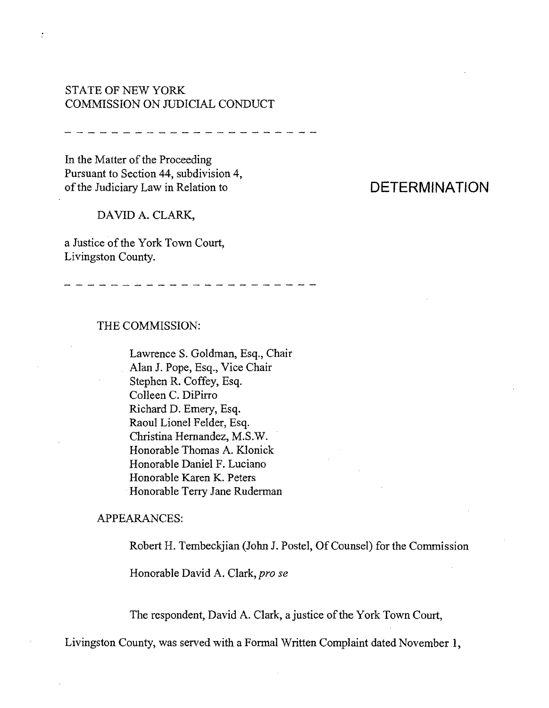# STATE OF NEW YORK COMMISSION ON JUDICIAL CONDUCT

منذ معا الله المداعمة المداعية المداعية المداعية المداعية المداعية المداعية المداعية المداعية

In the Matter of the Proceeding Pursuant to Section 44, subdivision 4, of the Judiciary Law in Relation to

 $\frac{1}{\alpha}$ 

#### DAVID A. CLARK,

a Justice of the York Town Court, Livingston County.

## THE COMMISSION:

Lawrence S. Goldman, Esq., Chair Alan J. Pope, Esq., Vice Chair Stephen R. Coffey, Esq. Colleen C. DiPirro Richard D. Emery, Esq. Raoul Lionel Felder, Esq. Christina Hernandez, M.S.W. Honorable Thomas A. KIonick Honorable Daniel F. Luciano Honorable Karen K. Peters .Honorable Terry Jane Ruderman

### APPEARANCES:

Robert H. Tembeckjian (John J. Postel, Of Counsel) for the Commission

Honorable David A. Clark, *pro se*

The respondent, David A. Clark, a justice of the York Town Court,

Livingston County, was served with a Formal Written Complaint dated November 1,

# **DETERMINATION**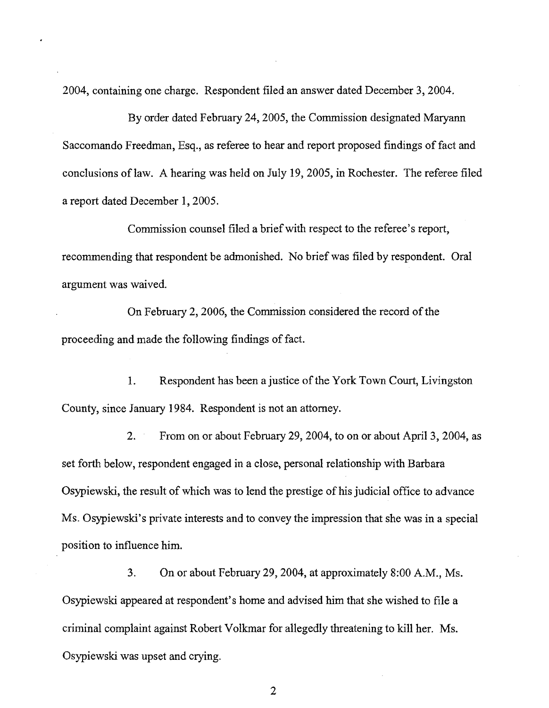2004, containing one charge. Respondent filed an answer dated December 3, 2004.

By order dated February 24,2005, the Commission designated Maryann Saccomando Freedman, Esq., as referee to hear and report proposed findings of fact and conclusions oflaw. A hearing was held on July 19, 2005, in Rochester. The referee filed a report dated December 1,2005.

Commission counsel filed a brief with respect to the referee's report, recommending that respondent be admonished. No brief was filed by respondent. Oral argument was waived.

On February 2, 2006, the Commission considered the record of the proceeding and made the following findings of fact.

1. Respondent has been a justice of the York Town Court, Livingston County, since January 1984. Respondent is not an attorney.

2. From on or about February 29,2004, to on or about April 3, 2004, as set forth below, respondent engaged in a close, personal relationship with Barbara Osypiewski, the result of which was to lend the prestige of his judicial office to advance Ms. Osypiewski's private interests and to convey the impression that she was in a special position to influence him.

3. On or about February 29,2004, at approximately 8:00 A.M., Ms. Osypiewski appeared at respondent's home and advised him that she wished to file a criminal complaint against Robert Volkmar for allegedly threatening to kill her. Ms. Osypiewski was upset and crying.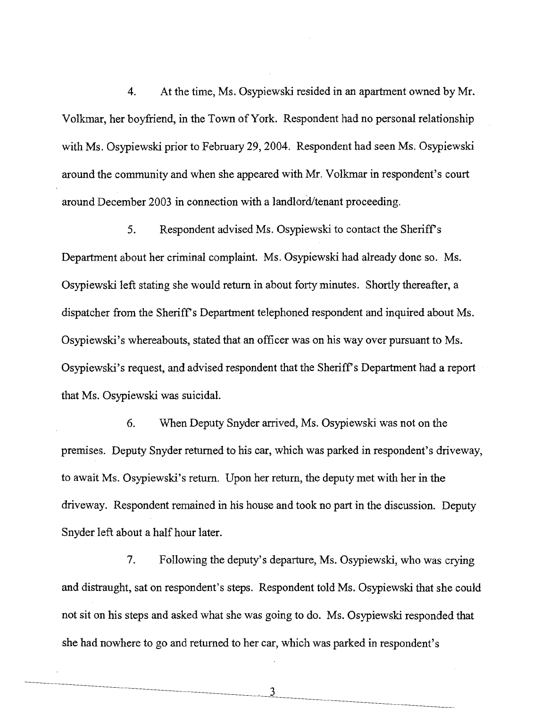4. At the time, Ms. Osypiewski resided in an apartment owned by Mr. Volkmar, her boyfriend, in the Town of York. Respondent had no personal relationship with Ms. Osypiewski prior to February 29, 2004. Respondent had seen Ms. Osypiewski around the community and when she appeared with Mr. Volkmar in respondent's court around December 2003 in connection with a landlord/tenant proceeding.

5. Respondent advised Ms. Osypiewski to contact the Sheriffs Department about her criminal complaint. Ms. Osypiewski had already done so. Ms. Osypiewski left stating she would return in about forty minutes. Shortly thereafter, a dispatcher from the Sheriff's Department telephoned respondent and inquired about Ms. Osypiewski's whereabouts, stated that an officer was on his way over pursuant to Ms. Osypiewski's request, and advised respondent that the Sheriff's Department had a report that Ms. Osypiewski was suicidal.

6. When Deputy Snyder arrived, Ms. Osypiewski was not on the premises. Deputy Snyder returned to his car, which was parked in respondent's driveway, to await Ms. Osypiewski's return. Upon her return, the deputy met with her in the driveway. Respondent remained in his house and took no part in the discussion. Deputy Snyder left about a half hour later.

7. Following the deputy's departure, Ms. Osypiewski, who was crying and distraught, sat on respondent's steps. Respondent told Ms. Osypiewski that she could not sit on his steps and asked what she was going to do. Ms. Osypiewski responded that she had nowhere to go and returned to her car, which was parked in respondent's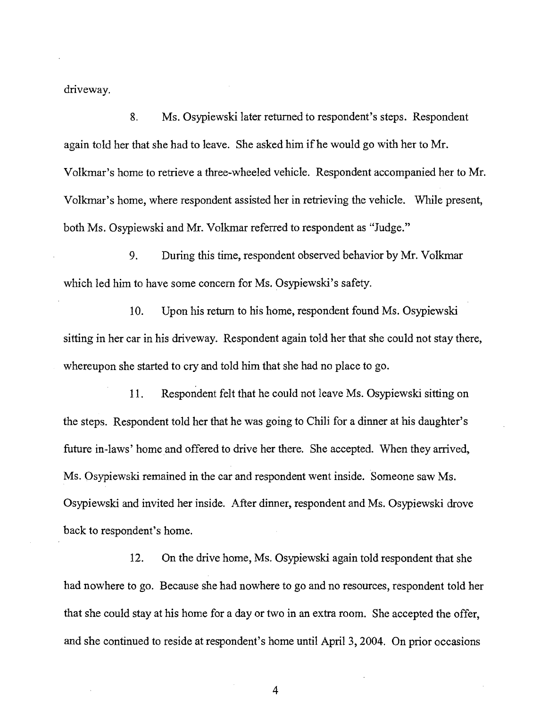driveway.

8. Ms. Osypiewski later returned to respondent's steps. Respondent again told her that she had to leave. She asked him ifhe would go with her to Mr. Volkmar's home to retrieve a three-wheeled vehicle. Respondent accompanied her to Mr. Volkmar's home, where respondent assisted her in retrieving the vehicle. While present, both Ms. Osypiewski and Mr. Volkmar referred to respondent as "Judge."

9. During this time, respondent observed behavior by Mr. Volkmar which led him to have some concern for Ms. Osypiewski's safety.

10. Upon his return to his home, respondent found Ms. Osypiewski sitting in her car in his driveway. Respondent again told her that she could not stay there, whereupon she started to cry and told him that she had no place to go.

11. Respondent felt that he could not leave Ms. Osypiewski sitting on the steps. Respondent told her that he was going to Chili for a dinner at his daughter's future in-laws' home and offered to drive her there. She accepted. When they arrived, Ms. Osypiewski remained in the car and respondent went inside. Someone saw Ms. Osypiewski and invited her inside. After dinner, respondent and Ms. Osypiewski drove back to respondent's home.

12. On the drive home, Ms. Osypiewski again told respondent that she had nowhere to go. Because she had nowhere to go and no resources, respondent told her that she could stay at his home for a day or two in an extra room. She accepted the offer, and she continued to reside at respondent's home until April 3, 2004. On prior occasions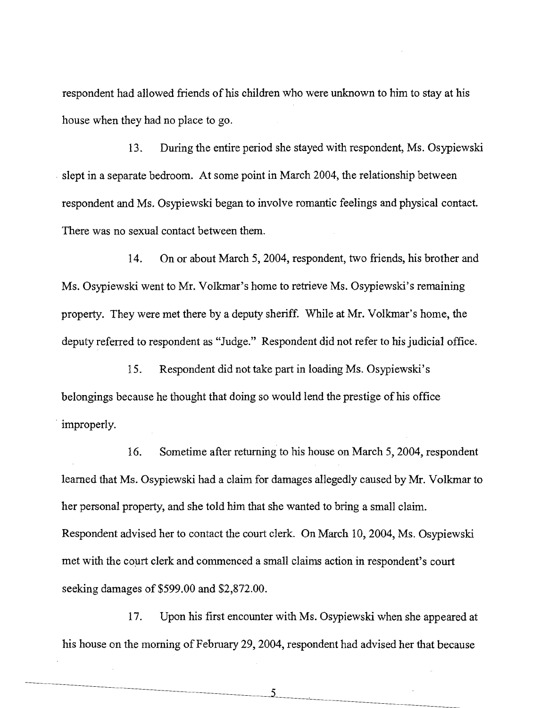respondent had allowed friends of his children who were unknown to him to stay at his house when they had no place to go.

13. During the entire period she stayed with respondent, Ms. Osypiewski . slept in a separate bedroom. At some point in March 2004, the relationship between respondent and Ms. Osypiewski began to involve romantic feelings and physical contact. There was no sexual contact between them.

14. On or about March 5, 2004, respondent, two friends, his brother and Ms. Osypiewski went to Mr. Volkmar's home to retrieve Ms. Osypiewski's remaining property. They were met there by a deputy sheriff. While at Mr. Volkmar's home, the deputy referred to respondent as "Judge." Respondent did not refer to his judicial office.

15. Respondent did not take part in loading Ms. Osypiewski's belongings because he thought that doing so would lend the prestige of his office . improperly.

16. Sometime after returning to his house on March 5, 2004, respondent learned that Ms. Osypiewski had a claim for damages allegedly caused by Mr. Volkmar to her personal property, and she told him that she wanted to bring a small claim. Respondent advised her to contact the court clerk. On March 10,2004, Ms. Osypiewski met with the court clerk and commenced a small claims action in respondent's court seeking damages of \$599.00 and \$2,872.00.

17. Upon his first encounter with Ms. Osypiewski when she appeared at his house on the morning of February 29,2004, respondent had advised her that because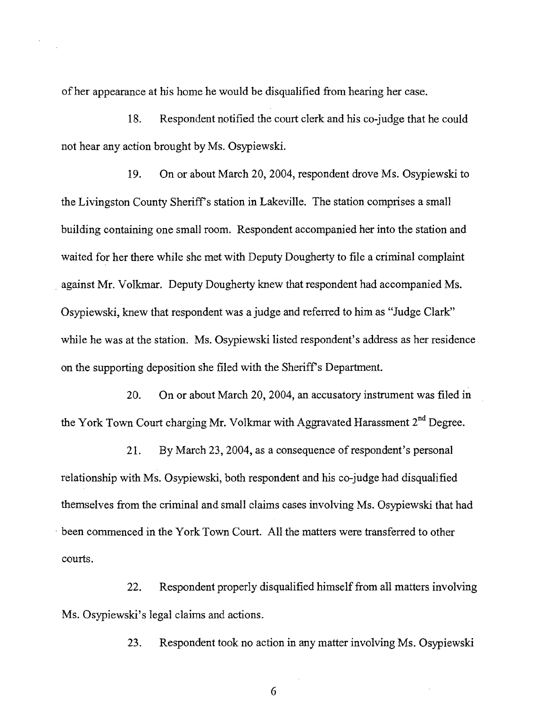ofher appearance at his home he would be disqualified from hearing her case.

18. Respondent notified the court clerk and his co-judge that he could not hear any action brought by Ms. Osypiewski.

19. On or about March 20,2004, respondent drove Ms. Osypiewski to the Livingston County Sheriff's station in Lakeville. The station comprises a small building containing one small room. Respondent accompanied her into the station and waited for her there while she met with Deputy Dougherty to file a criminal complaint . against Mr. Volkmar. Deputy Dougherty knew that respondent had accompanied Ms. Osypiewski, knew that respondent was a judge and referred to him as "Judge Clark" while he was at the station. Ms. Osypiewski listed respondent's address as her residence on the supporting deposition she filed with the Sheriff's Department.

20. On or about March 20, 2004, an accusatory instrument was filed in the York Town Court charging Mr. Volkmar with Aggravated Harassment 2<sup>nd</sup> Degree.

21. By March 23, 2004, as a consequence of respondent's personal relationship with Ms. Osypiewski, both respondent and his co-judge had disqualified themselves from the criminal and small claims cases involving Ms. Osypiewski that had . been commenced in the York Town Court. All the matters were transferred to other courts.

22. Respondent properly disqualified himself from all matters involving Ms. Osypiewski's legal claims and actions.

23. Respondent took no action in any matter involving Ms. Osypiewski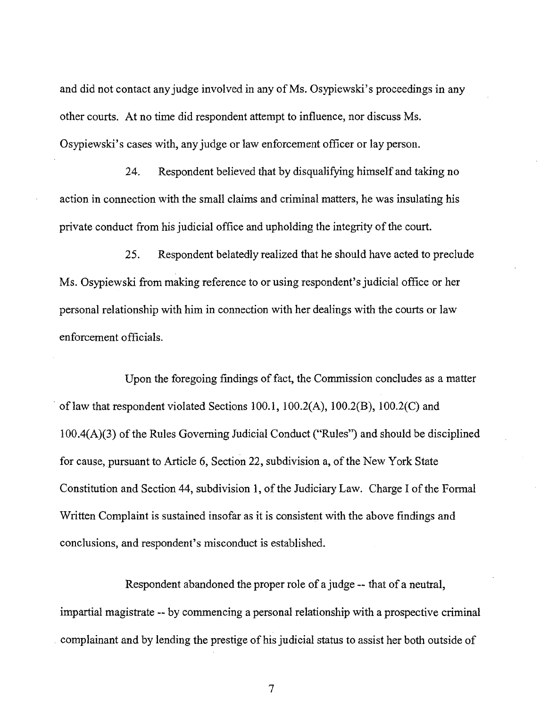and did not contact any judge involved in any of Ms. Osypiewski's proceedings in any other courts. At no time did respondent attempt to influence, nor discuss Ms. Osypiewski's cases with, any judge or law enforcement officer or lay person.

24. Respondent believed that by disqualifying himself and taking no action in connection with the small claims and criminal matters, he was insulating his private conduct from his judicial office and upholding the integrity of the court.

25. Respondent belatedly realized that he should have acted to preclude Ms. Osypiewski from making reference to or using respondent's judicial office or her personal relationship with him in connection with her dealings with the courts or law enforcement officials.

Upon the foregoing findings of fact, the Commission concludes as a matter of law that respondent violated Sections 100.1,  $100.2(A)$ ,  $100.2(B)$ ,  $100.2(C)$  and  $100.4(A)(3)$  of the Rules Governing Judicial Conduct ("Rules") and should be disciplined for cause, pursuant to Article 6, Section 22, subdivision a, of the New York State Constitution and Section 44, subdivision 1, of the Judiciary Law. Charge I of the Formal Written Complaint is sustained insofar as it is consistent with the above findings and conclusions, and respondent's misconduct is established.

Respondent abandoned the proper role of a judge -- that of a neutral, impartial magistrate -- by commencing a personal relationship with a prospective criminal complainant and by lending the prestige of his judicial status to assist her both outside of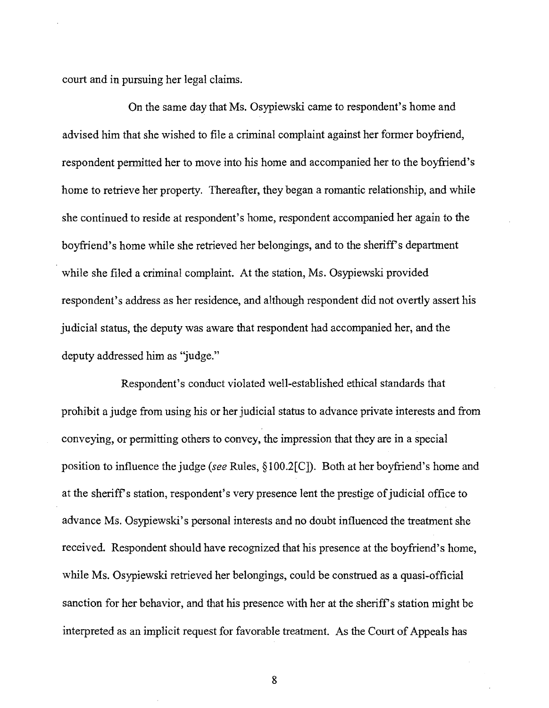court and in pursuing her legal claims.

On the same day that Ms. Osypiewski came to respondent's home and advised him that she wished to file a criminal complaint against her former boyfriend, respondent permitted her to move into his home and accompanied her to the boyfriend's home to retrieve her property. Thereafter, they began a romantic relationship, and while she continued to reside at respondent's home, respondent accompanied her again to the boyfriend's home while she retrieved her belongings, and to the sheriff's department while she filed a criminal complaint. At the station, Ms. Osypiewski provided respondent's address as her residence, and although respondent did not overtly assert his judicial status, the deputy was aware that respondent had accompanied her, and the deputy addressed him as "judge."

Respondent's conduct violated well-established ethical standards that prohibit a judge from using his or her judicial status to advance private interests and from conveying, or permitting others to convey, the impression that they are in a special position to influence the judge *(see* Rules, §lOO.2[C]). Both at her boyfriend's home and at the sheriff's station, respondent's very presence lent the prestige of judicial office to advance Ms. Osypiewski's personal interests and no doubt influenced the treatment she received. Respondent should have recognized that his presence at the boyfriend's home, while Ms. Osypiewski retrieved her belongings, could be construed as a quasi-official sanction for her behavior, and that his presence with her at the sheriff's station might be interpreted as an implicit request for favorable treatment. As the Court of Appeals has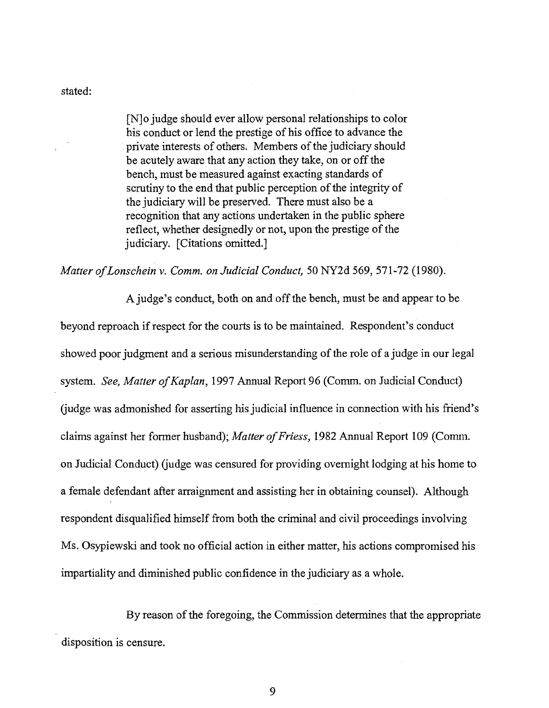stated:

[N]o judge should ever allow personal relationships to color his conduct or lend the prestige of his office to advance the private interests of others. Members of the judiciary should be acutely aware that any action they take, on or off the bench, must be measured against exacting standards of scrutiny to the end that public perception of the integrity of the judiciary will be preserved. There must also be a recognition that any actions undertaken in the public sphere reflect, whether designedly or not, upon the prestige of the judiciary. [Citations omitted.]

*Matter ofLonschein* v. *Comm. on Judicial Conduct,* 50 NY2d 569,571-72 (1980).

A judge's conduct, both on and off the bench, must be and appear to be beyond reproach if respect for the courts is to be maintained. Respondent's conduct showed poor judgment and a serious misunderstanding of the role of a judge in our legal system. *See, Matter of Kaplan*, 1997 Annual Report 96 (Comm. on Judicial Conduct) (judge was admonished for asserting his judicial influence in connection with his friend's claims against her former husband); *Matter of Friess*, 1982 Annual Report 109 (Comm. on Judicial Conduct) (judge was censured for providing overnight lodging at his home to a female defendant after arraignment and assisting her in obtaining counsel). Although respondent disqualified himself from both the criminal and civil proceedings involving Ms. Osypiewski and took no official action in either matter, his actions compromised his impartiality and diminished public confidence in the judiciary as a whole.

By reason of the foregoing, the Commission determines that the appropriate disposition is censure.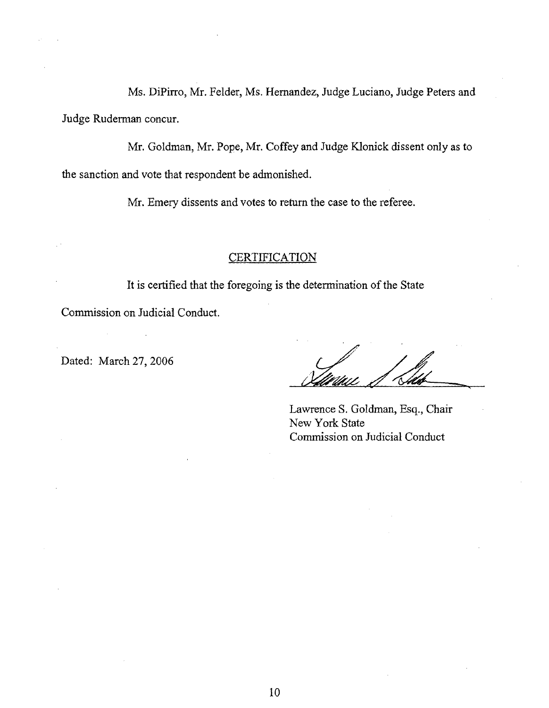Ms. DiPirro, Mr. Felder, Ms. Hernandez, Judge Luciano, Judge Peters and Judge Ruderman concur.

Mr. Goldman, Mr. Pope, Mr. Coffey and Judge Klonick dissent only as to the sanction and vote that respondent be admonished.

Mr. Emery dissents and votes to return the case to the referee.

## **CERTIFICATION**

It is certified that the foregoing is the determination of the State

Commission on Judicial Conduct.

Dated: March 27,2006

Lawrence S. Goldman, Esq., Chair New York State Commission on Judicial Conduct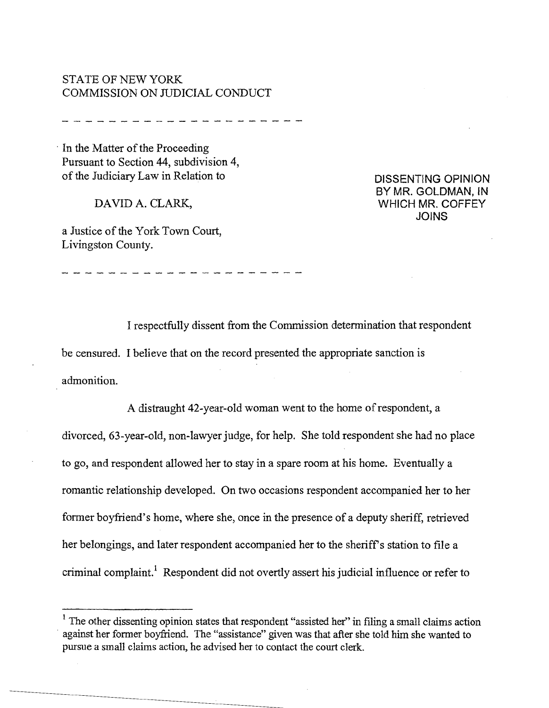# STATE OF NEW YORK COMMISSION ON JUDICIAL CONDUCT

--------------------

In the Matter of the Proceeding Pursuant to Section 44, subdivision 4, of the Judiciary Law in Relation to

DAVID A. CLARK,

a Justice of the York Town Court, Livingston County.

DISSENTING OPINION BY MR. GOLDMAN, IN WHICH MR. COFFEY JOINS

I respectfully dissent from the Commission determination that respondent be censured. I believe that on the record presented the appropriate sanction is admonition.

A distraught 42-year-old woman went to the home of respondent, a divorced, 63-year-old, non-lawyer judge, for help. She told respondent she had no place to go, and respondent allowed her to stay in a spare room at his home. Eventually a romantic relationship developed. On two occasions respondent accompanied her to her former boyfriend's home, where she, once in the presence of a deputy sheriff, retrieved her belongings, and later respondent accompanied her to the sheriff's station to file a criminal complaint.<sup>1</sup> Respondent did not overtly assert his judicial influence or refer to

 $1$  The other dissenting opinion states that respondent "assisted her" in filing a small claims action . against her former boyfriend. The "assistance" given was that after she told him she wanted to pursue a small claims action, he advised her to contact the court clerk.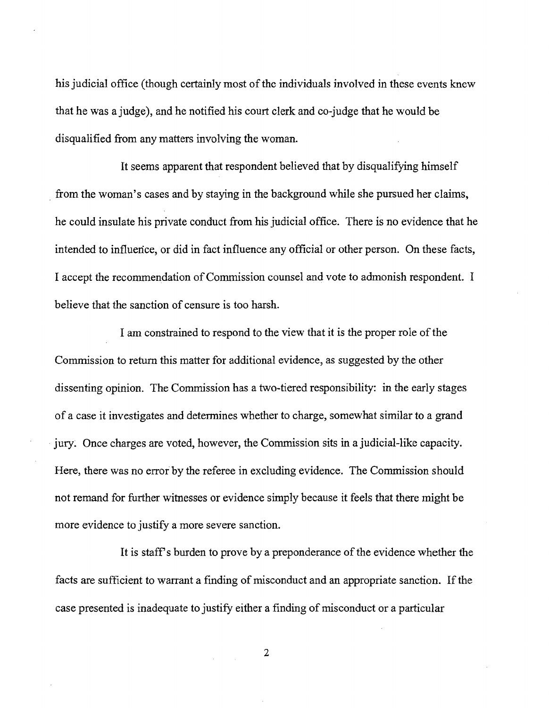his judicial office (though certainly most of the individuals involved in these events knew that he was a judge), and he notified his court clerk and co-judge that he would be disqualified from any matters involving the woman.

It seems apparent that respondent believed that by disqualifying himself . from the woman's cases and by staying in the background while she pursued her claims, he could insulate his private conduct from his judicial office. There is no evidence that he intended to influence, or did in fact influence any official or other person. On these facts, I accept the recommendation of Commission counsel and vote to admonish respondent. I believe that the sanction of censure is too harsh.

I am constrained to respond to the view that it is the proper role of the Commission to return this matter for additional evidence, as suggested by the other dissenting opinion. The Commission has a two-tiered responsibility: in the early stages of a case it investigates and determines whether to charge, somewhat similar to a grand . jury: Once charges are voted, however, the Commission sits in a judicial-like capacity. Here, there was no error by the referee in excluding evidence. The Commission should not remand for further witnesses or evidence simply because it feels that there might be more evidence to justify a more severe sanction.

It is staff's burden to prove by a preponderance of the evidence whether the facts are sufficient to warrant a finding of misconduct and an appropriate sanction. If the case presented is inadequate to justify either a finding of misconduct or a particular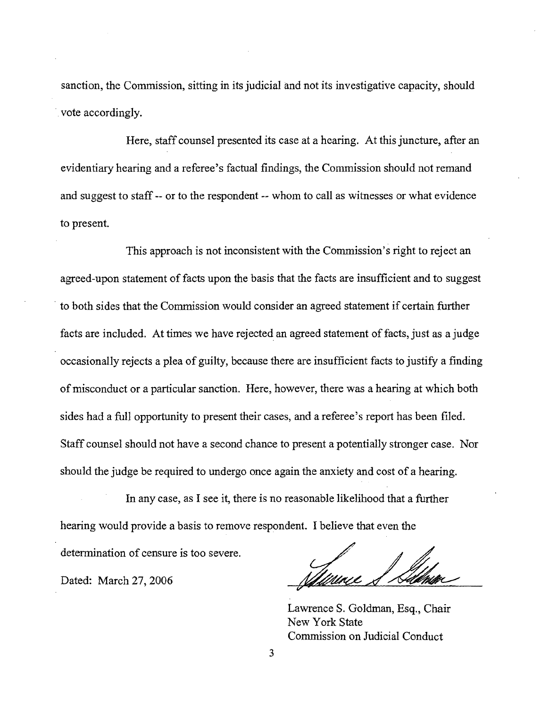sanction, the Commission, sitting in its judicial and not its investigative capacity, should vote accordingly.

Here, staff counsel presented its case at a hearing. At this juncture, after an evidentiary hearing and a referee's factual findings, the Commission should not remand and suggest to staff -- or to the respondent -- whom to call as witnesses or what evidence to present.

This approach is not inconsistent with the Commission's right to reject an agreed-upon statement of facts upon the basis that the facts are insufficient and to suggest . to both sides that the Commission would consider an agreed statement if certain further facts are included. At times we have rejected an agreed statement of facts, just as a judge occasionally rejects a plea of guilty, because there are insufficient facts to justify a finding of misconduct or a particular sanction. Here, however, there was a hearing at which both sides had a full opportunity to present their cases, and a referee's report has been filed. Staff counsel should not have a second chance to present a potentially stronger case. Nor should the judge be required to undergo once again the anxiety and cost of a hearing.

**In** any case, as I see it, there is no reasonable likelihood that a further hearing would provide a basis to remove respondent. I believe that even the

determination of censure is too severe.

Dated: March 27,2006

Lawrence S. Goldman, Esq., Chair New York State Commission on Judicial Conduct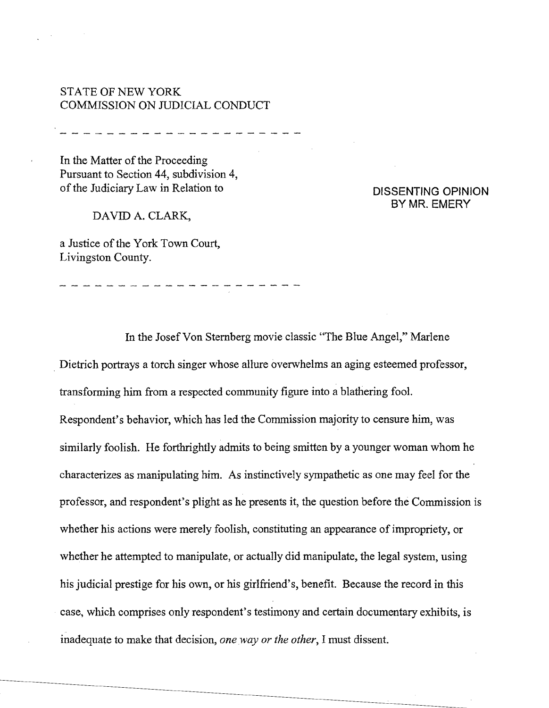# STATE OF NEW YORK COMMISSION ON JUDICIAL CONDUCT

In the Matter of the Proceeding Pursuant to Section 44, subdivision 4, of the Judiciary Law in Relation to

DAVID A. CLARK,

 $\mathbb{R}^n$  and  $\mathbb{R}^n$ 

a Justice of the York Town Court, Livingston County.

-------------------

## DISSENTING OPINION BYMR. EMERY

In the Josef Von Sternberg movie classic "The Blue Angel," Marlene . Dietrich portrays a torch singer whose allure overwhelms an aging esteemed professor, transforming him from a respected community figure into a blathering fool. Respondent's behavior, which has led the Commission majority to censure him, was similarly foolish. He forthrightly admits to being smitten by a younger woman whom he characterizes as manipulating him. As instinctively sympathetic as one may feel for the professor, and respondent's plight as he presents it, the question before the Commission is whether his actions were merely foolish, constituting an appearance of impropriety, or whether he attempted to manipulate, or actually did manipulate, the legal system, using his judicial prestige for his own, or his girlfriend's, benefit. Because the record in this case, which comprises only respondent's testimony and certain documentary exhibits, is inadequate to make that decision, *oneway or the other,* I must dissent.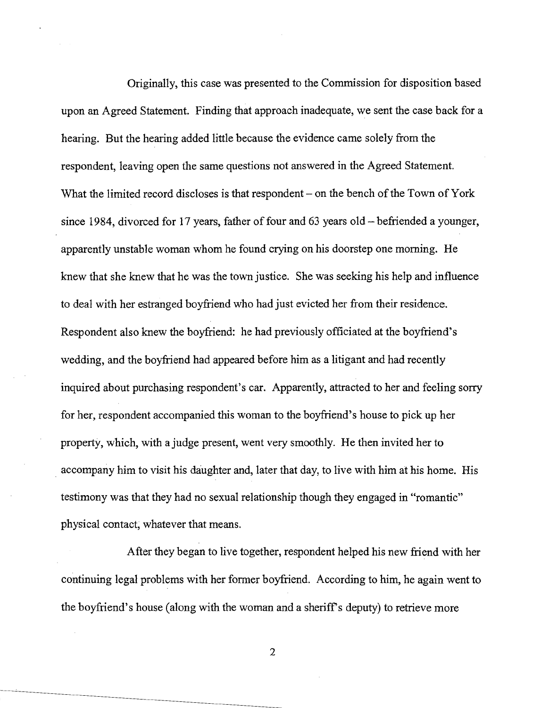Originally, this case was presented to the Commission for disposition based upon an Agreed Statement. Finding that approach inadequate, we sent the case back for a hearing. But the hearing added little because the evidence came solely from the respondent, leaving open the same questions not answered in the Agreed Statement. What the limited record discloses is that respondent  $-$  on the bench of the Town of York since 1984, divorced for 17 years, father of four and 63 years old  $-$  befriended a younger, apparently unstable woman whom he found crying on his doorstep one morning. He knew that she knew that he was the town justice. She was seeking his help and influence to deal with her estranged boyfriend who had just evicted her from their residence. Respondent also knew the boyfriend: he had previously officiated at the boyfriend's wedding, and the boyfriend had appeared before him as a litigant and had recently inquired about purchasing respondent's car. Apparently, attracted to her and feeling sorry for her, respondent accompanied this woman to the boyfriend's house to pick up her property, which, with a judge present, went very smoothly. He then invited her to . accompany him to visit his daughter and, later that day, to live with him at his home. His testimony was that they had no sexual relationship though they engaged in "romantic" physical contact, whatever that means.

After they began to live together, respondent helped his new friend with her continuing legal problems with her former boyfriend. According to him, he again went to the boyfriend's house (along with the woman and a sheriff's deputy) to retrieve more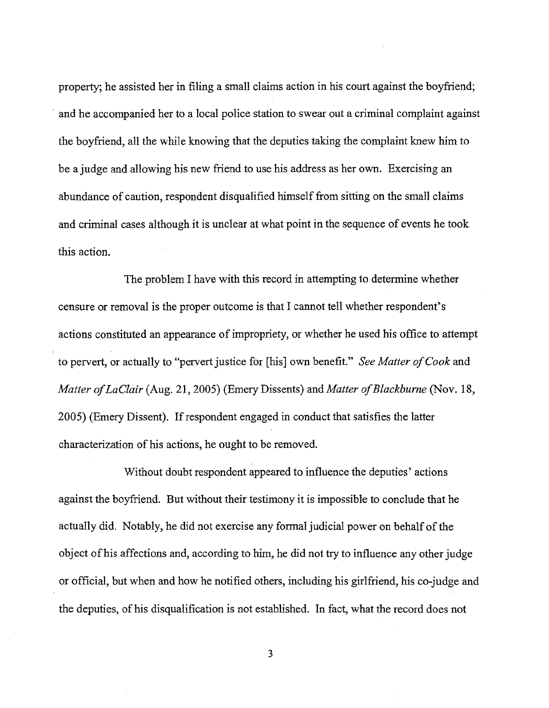property; he assisted her in filing a small claims action in his court against the boyfriend; . and he accompanied her to a local police station to swear out a criminal complaint against the boyfriend, all the while knowing that the deputies taking the complaint knew him to be a judge and allowing his new friend to use his address as her own. Exercising an abundance of caution, respondent disqualified himself from sitting on the small claims and criminal cases although it is unclear at what point in the sequence of events he took this action.

The problem I have with this record in attempting to determine whether censure or removal is the proper outcome is that I cannot tell whether respondent's actions constituted an appearance of impropriety, or whether he used his office to attempt to pervert, or actually to "pervert justice for [his] own benefit." *See Matter of Cook* and *Matter of LaClair* (Aug. 21, 2005) (Emery Dissents) and *Matter of Blackburne* (Nov. 18, 2005) (Emery Dissent). If respondent engaged in conduct that satisfies the latter characterization of his actions, he ought to be removed.

Without doubt respondent appeared to influence the deputies' actions against the boyfriend. But without their testimony it is impossible to conclude that he actually did. Notably, he did not exercise any formal judicial power on behalf of the object of his affections and, according to him, he did not try to influence any other judge or official, but when and how he notified others, including his girlfriend, his co-judge and the deputies, of his disqualification is not established. In fact, what the record does not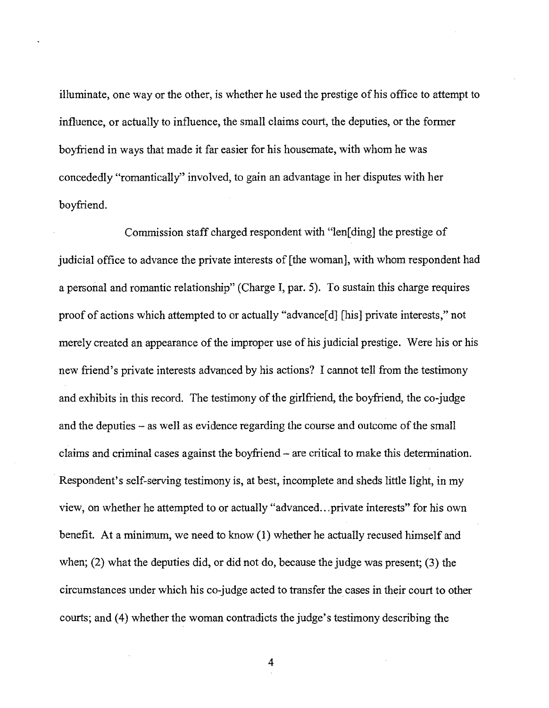illuminate, one way or the other, is whether he used the prestige of his office to attempt to influence, or actually to influence, the small claims court, the deputies, or the former boyfriend in ways that made it far easier for his housemate, with whom he was concededly "romantically" involved, to gain an advantage in her disputes with her boyfriend.

Commission staff charged respondent with "len[ding] the prestige of judicial office to advance the private interests of [the woman], with whom respondent had a personal and romantic relationship" (Charge I, par. 5). To sustain this charge requires proof of actions which attempted to or actually "advance[d] [his] private interests," not merely created an appearance of the improper use of his judicial prestige. Were his or his new friend's private interests advanced by his actions? I cannot tell from the testimony and exhibits in this record. The testimony of the girlfriend, the boyfriend, the co-judge and the deputies – as well as evidence regarding the course and outcome of the small claims and criminal cases against the boyfriend - are critical to make this determination. Respondent's self-serving testimony is, at best, incomplete and sheds little light, in my view, on whether he attempted to or actually "advanced...private interests" for his own benefit. At a minimum, we need to know (1) whether he actually recused himself and when; (2) what the deputies did, or did not do, because the judge was present; (3) the circumstances under which his co-judge acted to transfer the cases in their court to other courts; and (4) whether the woman contradicts the judge's testimony describing the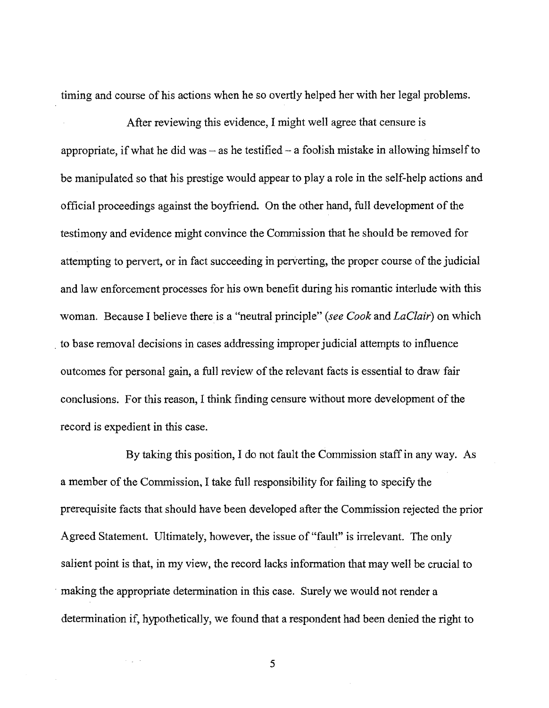timing and course of his actions when he so overtly helped her with her legal problems.

After reviewing this evidence, I might well agree that censure is appropriate, if what he did was  $-$  as he testified  $-$  a foolish mistake in allowing himself to be manipulated so that his prestige would appear to playa role in the self-help actions and official proceedings against the boyfriend. On the other hand, full development of the testimony and evidence might convince the Commission that he should be removed for attempting to pervert, or in fact succeeding in perverting, the proper course of the judicial and law enforcement processes for his own benefit during his romantic interlude with this woman. Because I believe there is a "neutral principle" *(see Cook* and *LaClair)* on which . to base removal decisions in cases addressing improperjudicial attempts to influence outcomes for personal gain, a full review of the relevant facts is essential to draw fair conclusions. For this reason, I think finding censure without more development of the record is expedient in this case.

By taking this position, I do not fault the Commission staff in any way. As a member of the Commission, I take full responsibility for failing to specify the prerequisite facts that should have been developed after the Commission rejected the prior Agreed Statement. Ultimately, however, the issue of "fault" is irrelevant. The only salient point is that, in my view, the record lacks information that may well be crucial to . making the appropriate determination in this case. Surely we would not render a determination if, hypothetically, we found that a respondent had been denied the right to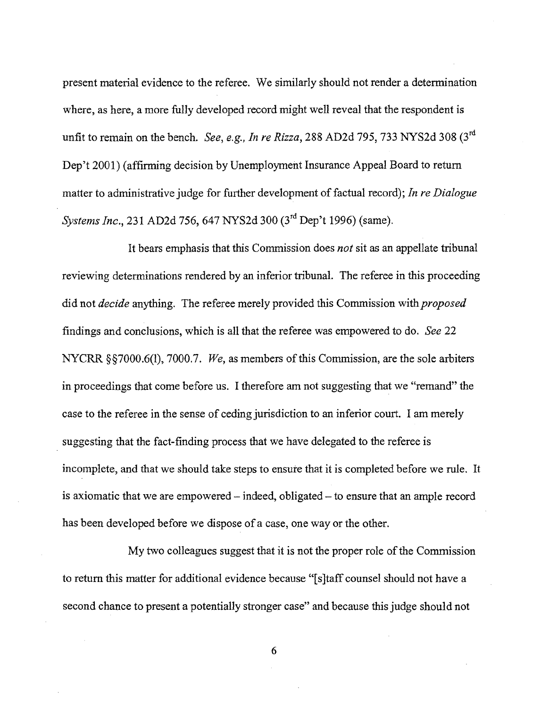present material evidence to the referee. We similarly should not render a detennination where, as here, a more fully developed record might well reveal that the respondent is unfit to remain on the bench. *See, e.g., In re Rizza,* 288 AD2d 795, 733 NYS2d 308 (3rd Dep't 2001) (affirming decision by Unemployment Insurance Appeal Board to return matter to administrative judge for further development of factual record); *In re Dialogue Systems Inc.,* 231 AD2d 756,647 NYS2d 300 (3rd Dep't 1996) (same).

It bears emphasis that this Commission does *not* sit as an appellate tribunal reviewing determinations rendered by an inferior tribunal. The referee in this proceeding did not *decide* anything. The referee merely provided this Commission with *proposed* findings and conclusions, which is all that the referee was empowered to do. *See 22* NYCRR §§7000.6(1), 7000.7. *We*, as members of this Commission, are the sole arbiters in proceedings that come before us. I therefore am not suggesting that we "remand" the case to the referee in the sense of ceding jurisdiction to an inferior court. I am merely suggesting that the fact-finding process that we have delegated to the referee is incomplete, and that we should take steps to ensure that it is completed before we rule. It is axiomatic that we are empowered – indeed, obligated – to ensure that an ample record has been developed before we dispose of a case, one way or the other.

My two colleagues suggest that it is not the proper role of the Commission to return this matter for additional evidence because "[s]taff counsel should not have a second chance to present a potentially stronger case" and because this judge should not